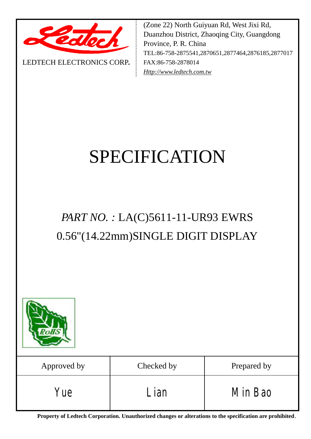

LEDTECH ELECTRONICS CORP**.**

(Zone 22) North Guiyuan Rd, West Jixi Rd, Duanzhou District, Zhaoqing City, Guangdong Province, P. R. China TEL:86-758-2875541,2870651,2877464,2876185,2877017 FAX:86-758-2878014 *[Http://www.ledtech.com.tw](http://www.ledtech.com.tw)*

# SPECIFICATION

## *PART NO. :* LA(C)5611-11-UR93 EWRS 0.56"(14.22mm)SINGLE DIGIT DISPLAY



**Property of Ledtech Corporation. Unauthorized changes or alterations to the specification are prohibited***.*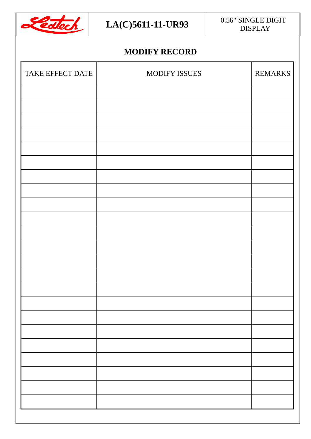

#### $LA(C)$ 5611-11-UR93 0.56" SINGLE DIGIT DISPLAY

#### **MODIFY RECORD**

| TAKE EFFECT DATE | <b>MODIFY ISSUES</b> | <b>REMARKS</b> |
|------------------|----------------------|----------------|
|                  |                      |                |
|                  |                      |                |
|                  |                      |                |
|                  |                      |                |
|                  |                      |                |
|                  |                      |                |
|                  |                      |                |
|                  |                      |                |
|                  |                      |                |
|                  |                      |                |
|                  |                      |                |
|                  |                      |                |
|                  |                      |                |
|                  |                      |                |
|                  |                      |                |
|                  |                      |                |
|                  |                      |                |
|                  |                      |                |
|                  |                      |                |
|                  |                      |                |
|                  |                      |                |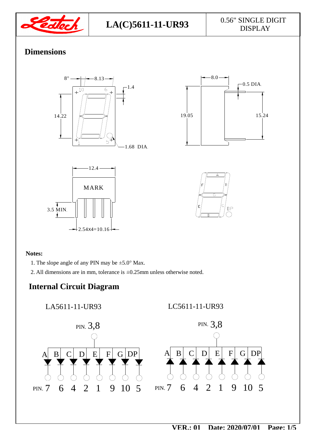

### **Dimensions**







#### **Notes:**

- 1. The slope angle of any PIN may be  $\pm$ 5.0° Max.
- 2. All dimensions are in mm, tolerance is ±0.25mm unless otherwise noted.

#### **Internal Circuit Diagram**

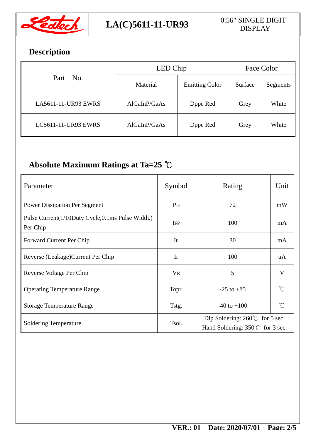

## **Description**

|                     | LED Chip     | Face Color            |         |          |
|---------------------|--------------|-----------------------|---------|----------|
| Part No.            | Material     | <b>Emitting Color</b> | Surface | Segments |
| LA5611-11-UR93 EWRS | AlGaInP/GaAs | Dppe Red              | Grey    | White    |
| LC5611-11-UR93 EWRS | AlGaInP/GaAs | Dppe Red              | Grey    | White    |

### **Absolute Maximum Ratings at Ta=25 ℃**

| Parameter                                                    | Symbol         | Rating                                                                              | Unit                |  |
|--------------------------------------------------------------|----------------|-------------------------------------------------------------------------------------|---------------------|--|
| <b>Power Dissipation Per Segment</b>                         | P <sub>D</sub> | 72                                                                                  | mW                  |  |
| Pulse Current(1/10Duty Cycle,0.1ms Pulse Width.)<br>Per Chip | <b>IFP</b>     | 100                                                                                 | mA                  |  |
| Forward Current Per Chip                                     | IF             | 30                                                                                  | mA                  |  |
| Reverse (Leakage) Current Per Chip                           | Ir             | 100                                                                                 | uA                  |  |
| Reverse Voltage Per Chip                                     | <b>VR</b>      | 5                                                                                   | V                   |  |
| <b>Operating Temperature Range</b>                           | Topr.          | $-25$ to $+85$                                                                      | $^{\circ}C$         |  |
| <b>Storage Temperature Range</b>                             | Tstg.          | $-40$ to $+100$                                                                     | $\int_{0}^{\infty}$ |  |
| Soldering Temperature.                                       | Tsol.          | Dip Soldering: $260^{\circ}$ for 5 sec.<br>Hand Soldering: $350^{\circ}$ for 3 sec. |                     |  |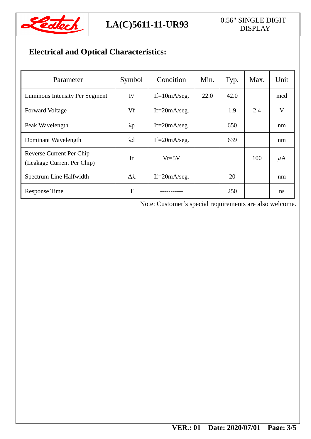

## DISPLAY

### **Electrical and Optical Characteristics:**

| Parameter                                                     | Symbol          | Condition         | Min. | Typ. | Max. | Unit    |
|---------------------------------------------------------------|-----------------|-------------------|------|------|------|---------|
| Luminous Intensity Per Segment                                | Iv              | $If=10mA/seg.$    | 22.0 | 42.0 |      | mcd     |
| <b>Forward Voltage</b>                                        | Vf              | If= $20mA/secg$ . |      | 1.9  | 2.4  | V       |
| Peak Wavelength                                               | $\lambda p$     | If= $20mA/secg$ . |      | 650  |      | nm      |
| Dominant Wavelength                                           | $\lambda$ d     | If= $20mA/secg$ . |      | 639  |      | nm      |
| <b>Reverse Current Per Chip</b><br>(Leakage Current Per Chip) | Ir              | $Vr=5V$           |      |      | 100  | $\mu$ A |
| Spectrum Line Halfwidth                                       | $\Delta\lambda$ | If= $20mA/secg$ . |      | 20   |      | nm      |
| <b>Response Time</b>                                          | T               |                   |      | 250  |      | ns      |

Note: Customer's special requirements are also welcome.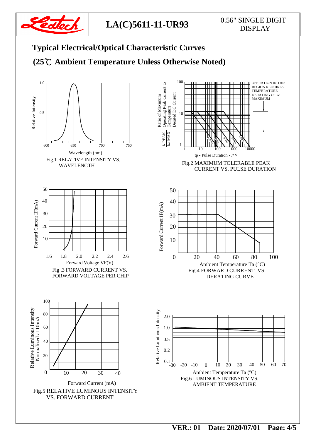

## DISPLAY